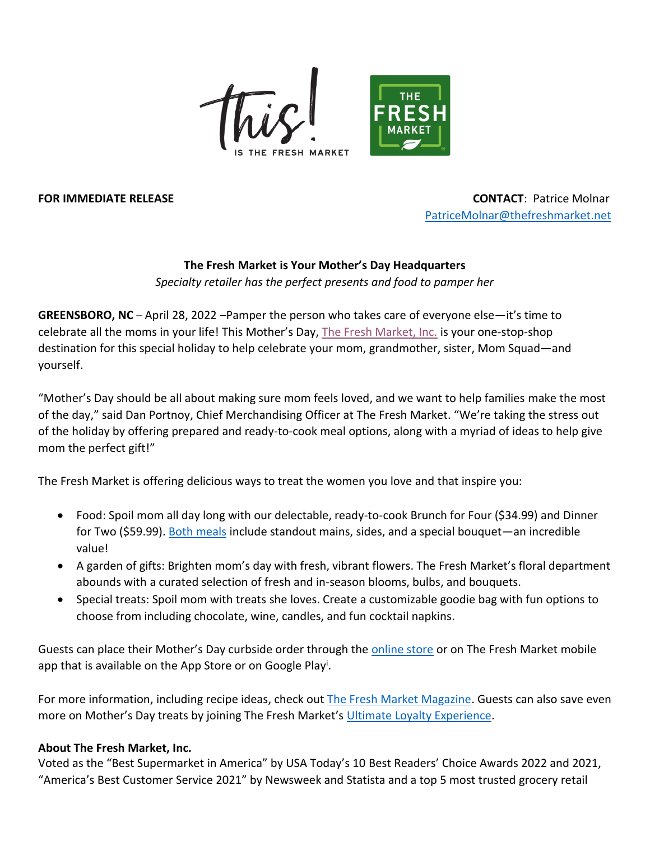



**FOR IMMEDIATE RELEASE CONTACT**: Patrice Molnar [PatriceMolnar@thefreshmarket.net](mailto:PatriceMolnar@thefreshmarket.net)

## **The Fresh Market is Your Mother's Day Headquarters** *Specialty retailer has the perfect presents and food to pamper her*

**GREENSBORO, NC** – April 28, 2022 –Pamper the person who takes care of everyone else—it's time to celebrate all the moms in your life! This Mother's Day, [The Fresh Market, Inc.](https://www.thefreshmarket.com/) is your one-stop-shop destination for this special holiday to help celebrate your mom, grandmother, sister, Mom Squad—and yourself.

"Mother's Day should be all about making sure mom feels loved, and we want to help families make the most of the day," said Dan Portnoy, Chief Merchandising Officer at The Fresh Market. "We're taking the stress out of the holiday by offering prepared and ready-to-cook meal options, along with a myriad of ideas to help give mom the perfect gift!"

The Fresh Market is offering delicious ways to treat the women you love and that inspire you:

- Food: Spoil mom all day long with our delectable, ready-to-cook Brunch for Four (\$34.99) and Dinner for Two (\$59.99). [Both meals](https://www.thefreshmarket.com/our-products/special-meals) include standout mains, sides, and a special bouquet—an incredible value!
- A garden of gifts: Brighten mom's day with fresh, vibrant flowers. The Fresh Market's floral department abounds with a curated selection of fresh and in-season blooms, bulbs, and bouquets.
- Special treats: Spoil mom with treats she loves. Create a customizable goodie bag with fun options to choose from including chocolate, wine, candles, and fun cocktail napkins.

Guests can place their Mother's Day curbside order through the [online store](https://shop.thefreshmarket.com/) or on The Fresh Market mobile app that is available on the App Store or on Google Play<sup>i</sup>.

For more information, including recipe ideas, check out [The Fresh Market Magazine.](https://www.thefreshmarket.com/april2022) Guests can also save even more on Mother's Day treats by joining The Fresh Market's [Ultimate Loyalty Experience.](https://www.thefreshmarket.com/loyalty)

## **About The Fresh Market, Inc.**

Voted as the "Best Supermarket in America" by USA Today's 10 Best Readers' Choice Awards 2022 and 2021, "America's Best Customer Service 2021" by Newsweek and Statista and a top 5 most trusted grocery retail